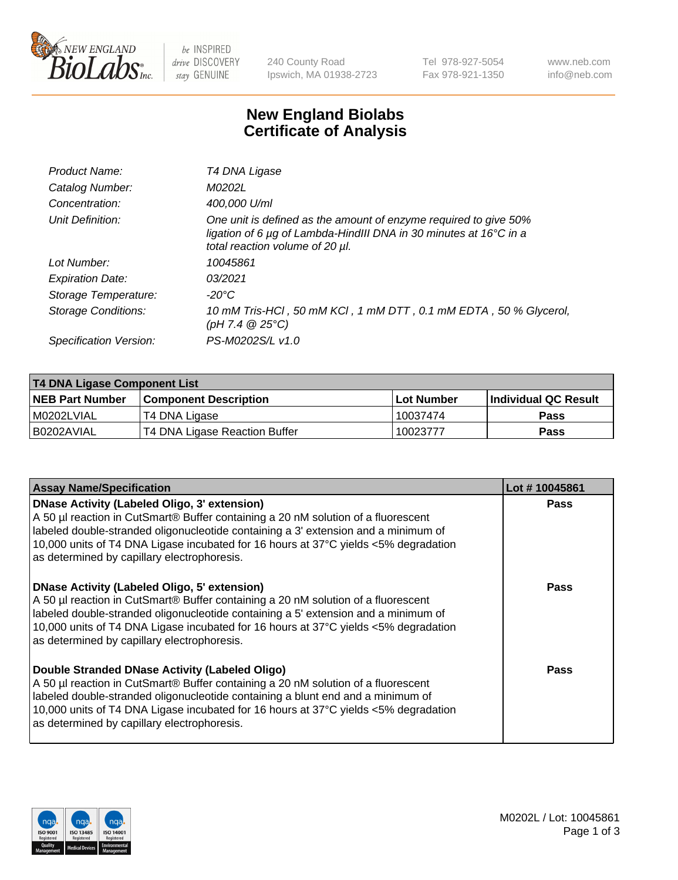

be INSPIRED drive DISCOVERY stay GENUINE

240 County Road Ipswich, MA 01938-2723 Tel 978-927-5054 Fax 978-921-1350 www.neb.com info@neb.com

## **New England Biolabs Certificate of Analysis**

| Product Name:              | T4 DNA Ligase                                                                                                                                                                           |
|----------------------------|-----------------------------------------------------------------------------------------------------------------------------------------------------------------------------------------|
| Catalog Number:            | M0202L                                                                                                                                                                                  |
| Concentration:             | 400,000 U/ml                                                                                                                                                                            |
| Unit Definition:           | One unit is defined as the amount of enzyme required to give 50%<br>ligation of 6 $\mu$ g of Lambda-HindIII DNA in 30 minutes at 16 $\degree$ C in a<br>total reaction volume of 20 µl. |
| Lot Number:                | 10045861                                                                                                                                                                                |
| <b>Expiration Date:</b>    | 03/2021                                                                                                                                                                                 |
| Storage Temperature:       | -20°C                                                                                                                                                                                   |
| <b>Storage Conditions:</b> | 10 mM Tris-HCl, 50 mM KCl, 1 mM DTT, 0.1 mM EDTA, 50 % Glycerol,<br>(pH 7.4 $@25°C$ )                                                                                                   |
| Specification Version:     | PS-M0202S/L v1.0                                                                                                                                                                        |

| T4 DNA Ligase Component List |                               |              |                             |  |  |
|------------------------------|-------------------------------|--------------|-----------------------------|--|--|
| <b>NEB Part Number</b>       | <b>Component Description</b>  | l Lot Number | <b>Individual QC Result</b> |  |  |
| M0202LVIAL                   | T4 DNA Ligase                 | 10037474     | <b>Pass</b>                 |  |  |
| I B0202AVIAL                 | T4 DNA Ligase Reaction Buffer | 10023777     | <b>Pass</b>                 |  |  |

| <b>Assay Name/Specification</b>                                                                                                                                                                                                                                                                                                                                      | Lot #10045861 |
|----------------------------------------------------------------------------------------------------------------------------------------------------------------------------------------------------------------------------------------------------------------------------------------------------------------------------------------------------------------------|---------------|
| <b>DNase Activity (Labeled Oligo, 3' extension)</b><br>A 50 µl reaction in CutSmart® Buffer containing a 20 nM solution of a fluorescent<br>labeled double-stranded oligonucleotide containing a 3' extension and a minimum of<br>10,000 units of T4 DNA Ligase incubated for 16 hours at 37°C yields <5% degradation<br>as determined by capillary electrophoresis. | <b>Pass</b>   |
| <b>DNase Activity (Labeled Oligo, 5' extension)</b><br>A 50 µl reaction in CutSmart® Buffer containing a 20 nM solution of a fluorescent<br>labeled double-stranded oligonucleotide containing a 5' extension and a minimum of<br>10,000 units of T4 DNA Ligase incubated for 16 hours at 37°C yields <5% degradation<br>as determined by capillary electrophoresis. | Pass          |
| Double Stranded DNase Activity (Labeled Oligo)<br>A 50 µl reaction in CutSmart® Buffer containing a 20 nM solution of a fluorescent<br>labeled double-stranded oligonucleotide containing a blunt end and a minimum of<br>10,000 units of T4 DNA Ligase incubated for 16 hours at 37°C yields <5% degradation<br>as determined by capillary electrophoresis.         | Pass          |

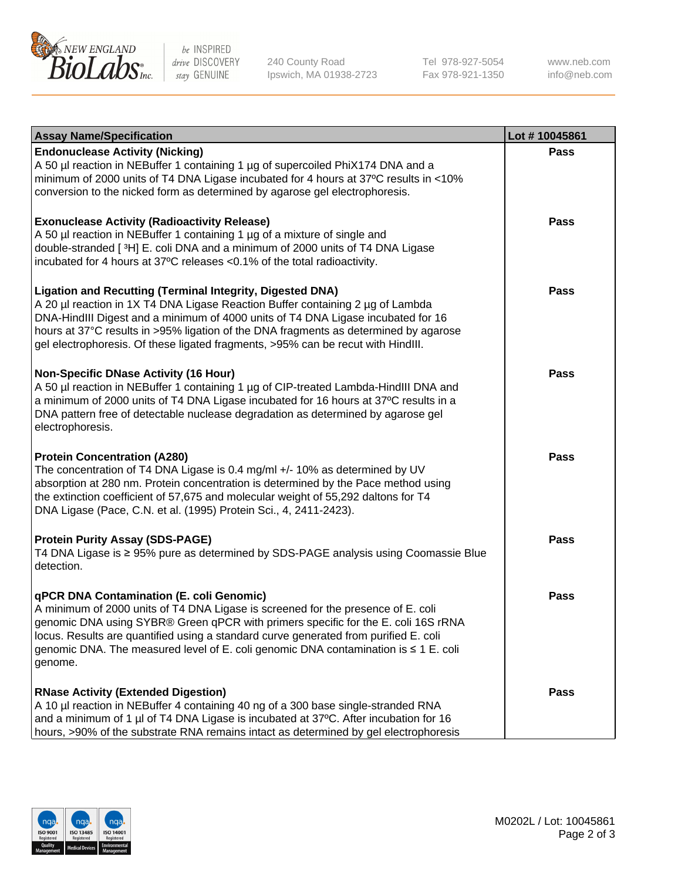

be INSPIRED drive DISCOVERY stay GENUINE

240 County Road Ipswich, MA 01938-2723 Tel 978-927-5054 Fax 978-921-1350

www.neb.com info@neb.com

| <b>Assay Name/Specification</b>                                                                                                                                                                                                                                                                                                                                                                                    | Lot #10045861 |
|--------------------------------------------------------------------------------------------------------------------------------------------------------------------------------------------------------------------------------------------------------------------------------------------------------------------------------------------------------------------------------------------------------------------|---------------|
| <b>Endonuclease Activity (Nicking)</b><br>A 50 µl reaction in NEBuffer 1 containing 1 µg of supercoiled PhiX174 DNA and a<br>minimum of 2000 units of T4 DNA Ligase incubated for 4 hours at 37°C results in <10%<br>conversion to the nicked form as determined by agarose gel electrophoresis.                                                                                                                   | <b>Pass</b>   |
| <b>Exonuclease Activity (Radioactivity Release)</b><br>A 50 µl reaction in NEBuffer 1 containing 1 µg of a mixture of single and<br>double-stranded [3H] E. coli DNA and a minimum of 2000 units of T4 DNA Ligase<br>incubated for 4 hours at 37°C releases <0.1% of the total radioactivity.                                                                                                                      | <b>Pass</b>   |
| <b>Ligation and Recutting (Terminal Integrity, Digested DNA)</b><br>A 20 µl reaction in 1X T4 DNA Ligase Reaction Buffer containing 2 µg of Lambda<br>DNA-HindIII Digest and a minimum of 4000 units of T4 DNA Ligase incubated for 16<br>hours at 37°C results in >95% ligation of the DNA fragments as determined by agarose<br>gel electrophoresis. Of these ligated fragments, >95% can be recut with HindIII. | <b>Pass</b>   |
| <b>Non-Specific DNase Activity (16 Hour)</b><br>A 50 µl reaction in NEBuffer 1 containing 1 µg of CIP-treated Lambda-HindIII DNA and<br>a minimum of 2000 units of T4 DNA Ligase incubated for 16 hours at 37°C results in a<br>DNA pattern free of detectable nuclease degradation as determined by agarose gel<br>electrophoresis.                                                                               | <b>Pass</b>   |
| <b>Protein Concentration (A280)</b><br>The concentration of T4 DNA Ligase is 0.4 mg/ml +/- 10% as determined by UV<br>absorption at 280 nm. Protein concentration is determined by the Pace method using<br>the extinction coefficient of 57,675 and molecular weight of 55,292 daltons for T4<br>DNA Ligase (Pace, C.N. et al. (1995) Protein Sci., 4, 2411-2423).                                                | <b>Pass</b>   |
| <b>Protein Purity Assay (SDS-PAGE)</b><br>T4 DNA Ligase is ≥ 95% pure as determined by SDS-PAGE analysis using Coomassie Blue<br>detection.                                                                                                                                                                                                                                                                        | <b>Pass</b>   |
| qPCR DNA Contamination (E. coli Genomic)<br>A minimum of 2000 units of T4 DNA Ligase is screened for the presence of E. coli<br>genomic DNA using SYBR® Green qPCR with primers specific for the E. coli 16S rRNA<br>locus. Results are quantified using a standard curve generated from purified E. coli<br>genomic DNA. The measured level of E. coli genomic DNA contamination is ≤ 1 E. coli<br>genome.        | Pass          |
| <b>RNase Activity (Extended Digestion)</b><br>A 10 µl reaction in NEBuffer 4 containing 40 ng of a 300 base single-stranded RNA<br>and a minimum of 1 µl of T4 DNA Ligase is incubated at 37°C. After incubation for 16<br>hours, >90% of the substrate RNA remains intact as determined by gel electrophoresis                                                                                                    | <b>Pass</b>   |